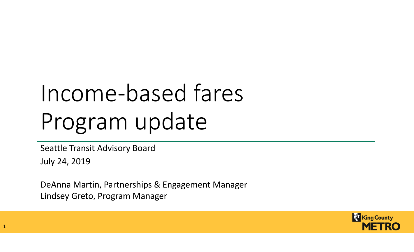# Income-based fares Program update

Seattle Transit Advisory Board

July 24, 2019

DeAnna Martin, Partnerships & Engagement ManagerLindsey Greto, Program Manager

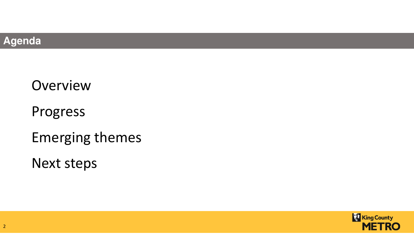

# **Overview**

Progress

Emerging themes

Next steps

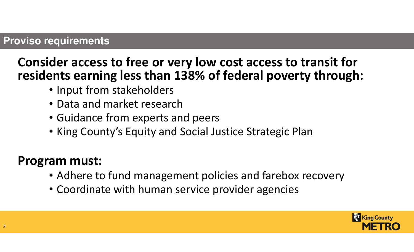#### **Proviso requirements**

## Consider access to free or very low cost access to transit for residents earning less than 138% of federal poverty through:

- Input from stakeholders
- Data and market research
- Guidance from experts and peers
- King County's Equity and Social Justice Strategic Plan

### Program must:

- Adhere to fund management policies and farebox recovery
- Coordinate with human service provider agencies

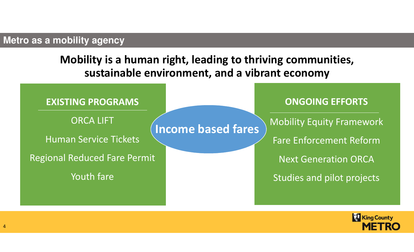#### **Metro as a mobility agency**

Mobility is a human right, leading to thriving communities, sustainable environment, and a vibrant economy



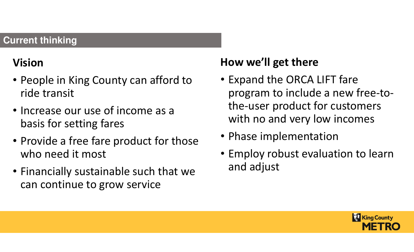#### **Current thinking**

# Vision

- People in King County can afford to ride transit
- Increase our use of income as a basis for setting fares
- Provide a free fare product for those who need it most
- Financially sustainable such that we can continue to grow service

### How we'll get there

- Expand the ORCA LIFT fare program to include a new free-tothe-user product for customers with no and very low incomes
- Phase implementation
- Employ robust evaluation to learn and adjust

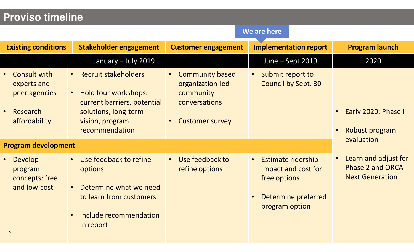#### **Proviso timeline**

|                                                                                               | We are here                                                                                                                                             |                                                                                                                              |                                                                                                           |                                                                           |
|-----------------------------------------------------------------------------------------------|---------------------------------------------------------------------------------------------------------------------------------------------------------|------------------------------------------------------------------------------------------------------------------------------|-----------------------------------------------------------------------------------------------------------|---------------------------------------------------------------------------|
| <b>Existing conditions</b>                                                                    | Stakeholder engagement                                                                                                                                  | <b>Customer engagement</b>                                                                                                   | <b>Implementation report</b>                                                                              | <b>Program launch</b>                                                     |
|                                                                                               | January - July 2019                                                                                                                                     |                                                                                                                              | June - Sept 2019                                                                                          | 2020                                                                      |
| <b>Consult with</b><br>experts and<br>peer agencies<br>Research<br>$\bullet$<br>affordability | • Recruit stakeholders<br>Hold four workshops:<br>$\bullet$<br>current barriers, potential<br>solutions, long-term<br>vision, program<br>recommendation | <b>Community based</b><br>$\bullet$<br>organization-led<br>community<br>conversations<br><b>Customer survey</b><br>$\bullet$ | Submit report to<br><b>Council by Sept. 30</b>                                                            | Early 2020: Phase I<br>Robust program<br>evaluation                       |
| <b>Program development</b>                                                                    |                                                                                                                                                         |                                                                                                                              |                                                                                                           |                                                                           |
| Develop<br>$\bullet$<br>program<br>concepts: free<br>and low-cost<br>6                        | Use feedback to refine<br>options<br>Determine what we need<br>to learn from customers<br>Include recommendation<br>$\bullet$<br>in report              | Use feedback to<br>$\bullet$<br>refine options                                                                               | <b>Estimate ridership</b><br>impact and cost for<br>free options<br>Determine preferred<br>program option | Learn and adjust for<br><b>Phase 2 and ORCA</b><br><b>Next Generation</b> |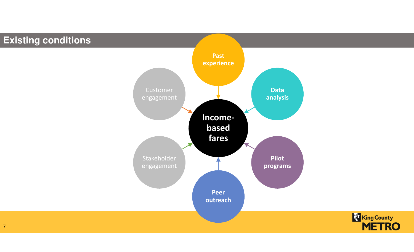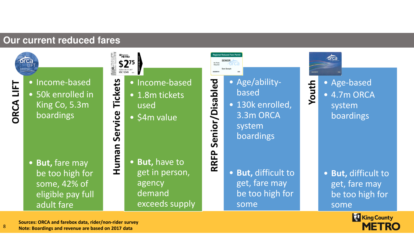#### **Our current reduced fares**



- 
- The Income-based<br>• 50k enrolled in<br>King Co, 5.3m<br>boardings

• But, fare may be too high for some, 42% of eligible pay full adult fare

 $$275$ Expires: Dec 31, 2017<br>HSC 12345

- 
- 
- 
- Income-based<br>• 1.8m tickets<br>• 54m value<br>• But, have to get in person, agency demand exceeds supply



- 
- ederability-<br>• Age/ability-<br>• 130k enrolled, 3.3m ORCA<br>• System boardings 150 moardings 160 moardings 160 moardings 160 moaths 160 moaths 160 moaths 160 moaths 160 moaths 160 moaths 160 moaths 160 moa
	- But, difficult to get, fare may be too high for some



<del>1</del> • Age-based<br>• 4.7m ORCA<br>system boardings

> • But, difficult to get, fare may be too high for some

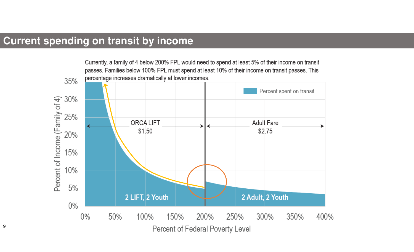#### **Current spending on transit by income**

Currently, a family of 4 below 200% FPL would need to spend at least 5% of their income on transit passes. Families below 100% FPL must spend at least 10% of their income on transit passes. This percentage increases dramatically at lower incomes.

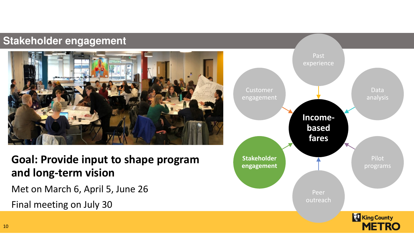#### **Stakeholder engagement**



Goal: Provide input to shape program and long-term vision

Met on March 6, April 5, June 26Final meeting on July 30

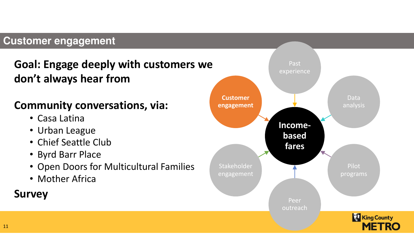#### **Customer engagement**

### Goal: Engage deeply with customers we don't always hear from

#### Community conversations, via:

- Casa Latina
- Urban League
- Chief Seattle Club
- Byrd Barr Place
- Open Doors for Multicultural Families
- Mother Africa

### Survey

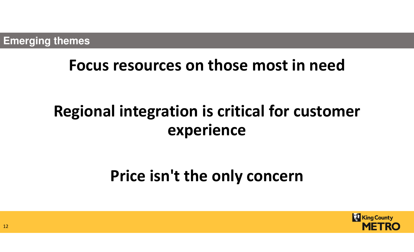# Focus resources on those most in need

# Regional integration is critical for customer experience

# Price isn't the only concern



12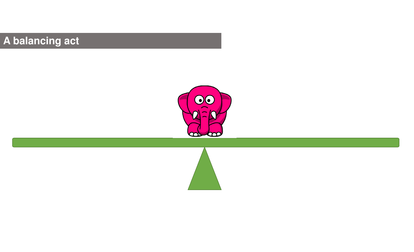# **A balancing act**



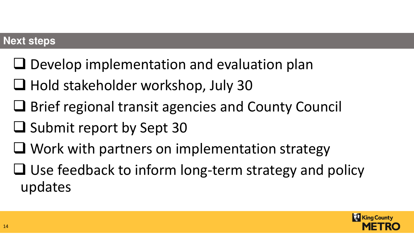#### **Next steps**

- $\Box$  Develop implementation and evaluation plan
- **Hold stakeholder workshop, July 30**
- **□ Brief regional transit agencies and County Council**
- $\square$  Submit report by Sept 30
- $\Box$  Work with partners on implementation strategy
- $\Box$  Use feedback to inform long-term strategy and policy undates updates